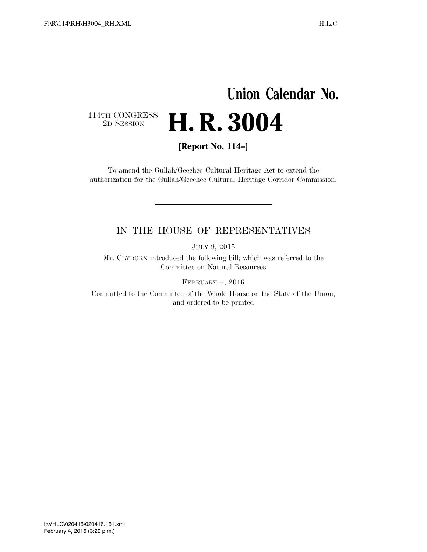## **Union Calendar No.**   $\begin{array}{c} \textbf{114TH CONGRESS} \\ \textbf{2D} \textbf{SESSION} \end{array}$ 2D SESSION **H. R. 3004**

**[Report No. 114–]** 

To amend the Gullah/Geechee Cultural Heritage Act to extend the authorization for the Gullah/Geechee Cultural Heritage Corridor Commission.

## IN THE HOUSE OF REPRESENTATIVES

JULY 9, 2015

Mr. CLYBURN introduced the following bill; which was referred to the Committee on Natural Resources

FEBRUARY --, 2016

Committed to the Committee of the Whole House on the State of the Union, and ordered to be printed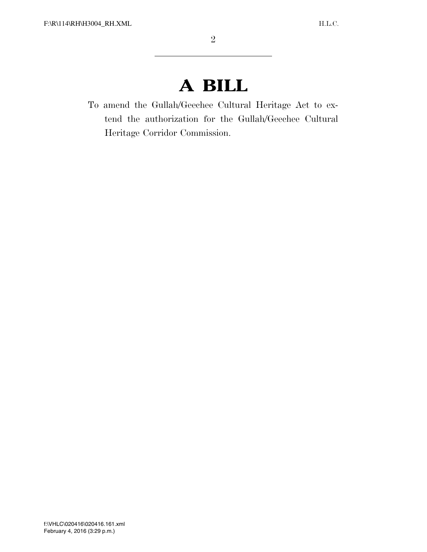## **A BILL**

To amend the Gullah/Geechee Cultural Heritage Act to extend the authorization for the Gullah/Geechee Cultural Heritage Corridor Commission.